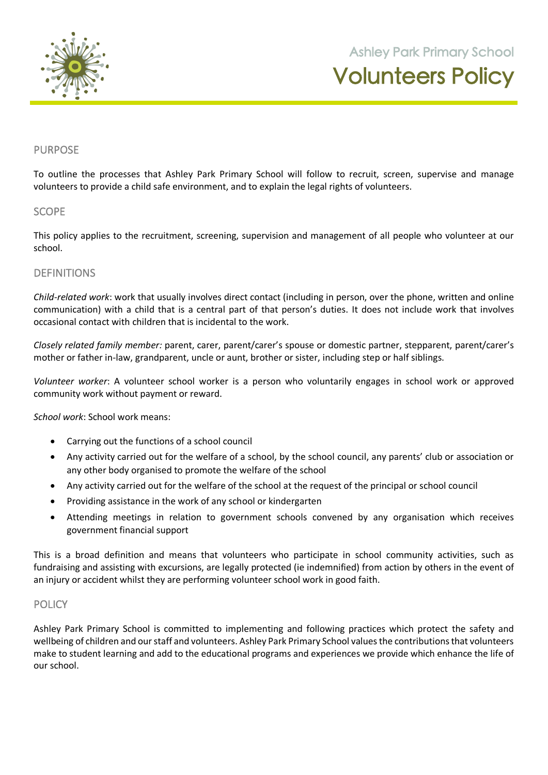

**105 Orchard Road Doreen 3754**

## PURPOSE

To outline the processes that Ashley Park Primary School will follow to recruit, screen, supervise and manage volunteers to provide a child safe environment, and to explain the legal rights of volunteers.

#### **SCOPE**

This policy applies to the recruitment, screening, supervision and management of all people who volunteer at our school.

## **DEFINITIONS**

*Child-related work*: work that usually involves direct contact (including in person, over the phone, written and online communication) with a child that is a central part of that person's duties. It does not include work that involves occasional contact with children that is incidental to the work.

*Closely related family member:* parent, carer, parent/carer's spouse or domestic partner, stepparent, parent/carer's mother or father in-law, grandparent, uncle or aunt, brother or sister, including step or half siblings.

*Volunteer worker*: A volunteer school worker is a person who voluntarily engages in school work or approved community work without payment or reward.

*School work*: School work means:

- Carrying out the functions of a school council
- Any activity carried out for the welfare of a school, by the school council, any parents' club or association or any other body organised to promote the welfare of the school
- Any activity carried out for the welfare of the school at the request of the principal or school council
- Providing assistance in the work of any school or kindergarten
- Attending meetings in relation to government schools convened by any organisation which receives government financial support

This is a broad definition and means that volunteers who participate in school community activities, such as fundraising and assisting with excursions, are legally protected (ie indemnified) from action by others in the event of an injury or accident whilst they are performing volunteer school work in good faith.

#### **POLICY**

Ashley Park Primary School is committed to implementing and following practices which protect the safety and wellbeing of children and our staff and volunteers. Ashley Park Primary School values the contributions that volunteers make to student learning and add to the educational programs and experiences we provide which enhance the life of our school.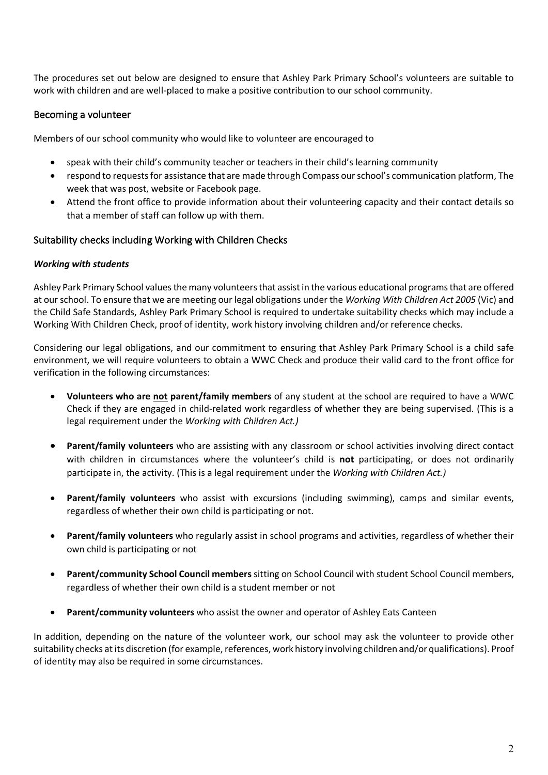The procedures set out below are designed to ensure that Ashley Park Primary School's volunteers are suitable to work with children and are well-placed to make a positive contribution to our school community.

## Becoming a volunteer

Members of our school community who would like to volunteer are encouraged to

- speak with their child's community teacher or teachers in their child's learning community
- respond to requests for assistance that are made through Compass our school's communication platform, The week that was post, website or Facebook page.
- Attend the front office to provide information about their volunteering capacity and their contact details so that a member of staff can follow up with them.

# Suitability checks including Working with Children Checks

#### *Working with students*

Ashley Park Primary School values the many volunteers that assist in the various educational programs that are offered at our school. To ensure that we are meeting our legal obligations under the *Working With Children Act 2005* (Vic) and the Child Safe Standards, Ashley Park Primary School is required to undertake suitability checks which may include a Working With Children Check, proof of identity, work history involving children and/or reference checks.

Considering our legal obligations, and our commitment to ensuring that Ashley Park Primary School is a child safe environment, we will require volunteers to obtain a WWC Check and produce their valid card to the front office for verification in the following circumstances:

- **Volunteers who are not parent/family members** of any student at the school are required to have a WWC Check if they are engaged in child-related work regardless of whether they are being supervised. (This is a legal requirement under the *Working with Children Act.)*
- **Parent/family volunteers** who are assisting with any classroom or school activities involving direct contact with children in circumstances where the volunteer's child is **not** participating, or does not ordinarily participate in, the activity. (This is a legal requirement under the *Working with Children Act.)*
- **Parent/family volunteers** who assist with excursions (including swimming), camps and similar events, regardless of whether their own child is participating or not.
- **Parent/family volunteers** who regularly assist in school programs and activities, regardless of whether their own child is participating or not
- **Parent/community School Council members** sitting on School Council with student School Council members, regardless of whether their own child is a student member or not
- **Parent/community volunteers** who assist the owner and operator of Ashley Eats Canteen

In addition, depending on the nature of the volunteer work, our school may ask the volunteer to provide other suitability checks at its discretion (for example, references, work history involving children and/or qualifications). Proof of identity may also be required in some circumstances.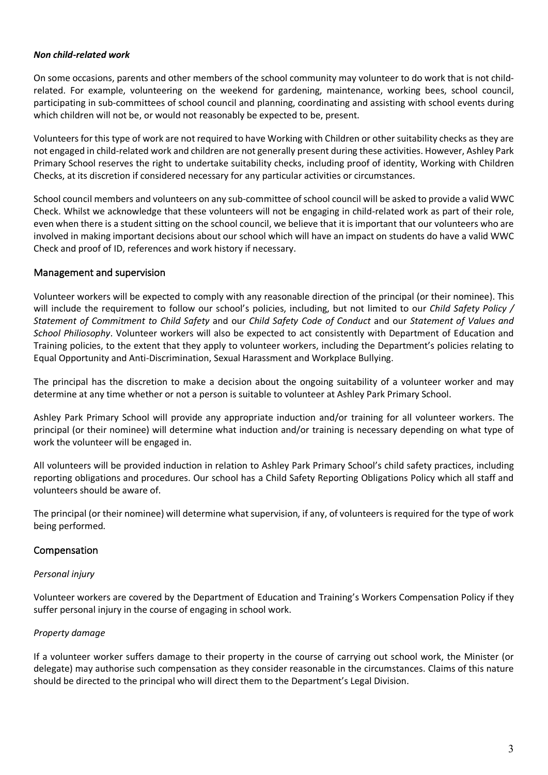#### *Non child-related work*

On some occasions, parents and other members of the school community may volunteer to do work that is not childrelated. For example, volunteering on the weekend for gardening, maintenance, working bees, school council, participating in sub-committees of school council and planning, coordinating and assisting with school events during which children will not be, or would not reasonably be expected to be, present.

Volunteers for this type of work are not required to have Working with Children or other suitability checks as they are not engaged in child-related work and children are not generally present during these activities. However, Ashley Park Primary School reserves the right to undertake suitability checks, including proof of identity, Working with Children Checks, at its discretion if considered necessary for any particular activities or circumstances.

School council members and volunteers on any sub-committee of school council will be asked to provide a valid WWC Check. Whilst we acknowledge that these volunteers will not be engaging in child-related work as part of their role, even when there is a student sitting on the school council, we believe that it is important that our volunteers who are involved in making important decisions about our school which will have an impact on students do have a valid WWC Check and proof of ID, references and work history if necessary.

# Management and supervision

Volunteer workers will be expected to comply with any reasonable direction of the principal (or their nominee). This will include the requirement to follow our school's policies, including, but not limited to our *Child Safety Policy / Statement of Commitment to Child Safety* and our *Child Safety Code of Conduct* and our *Statement of Values and School Philiosophy*. Volunteer workers will also be expected to act consistently with Department of Education and Training policies, to the extent that they apply to volunteer workers, including the Department's policies relating to Equal Opportunity and Anti-Discrimination, Sexual Harassment and Workplace Bullying.

The principal has the discretion to make a decision about the ongoing suitability of a volunteer worker and may determine at any time whether or not a person is suitable to volunteer at Ashley Park Primary School.

Ashley Park Primary School will provide any appropriate induction and/or training for all volunteer workers. The principal (or their nominee) will determine what induction and/or training is necessary depending on what type of work the volunteer will be engaged in.

All volunteers will be provided induction in relation to Ashley Park Primary School's child safety practices, including reporting obligations and procedures. Our school has a Child Safety Reporting Obligations Policy which all staff and volunteers should be aware of.

The principal (or their nominee) will determine what supervision, if any, of volunteers is required for the type of work being performed.

## Compensation

## *Personal injury*

Volunteer workers are covered by the Department of Education and Training's Workers Compensation Policy if they suffer personal injury in the course of engaging in school work.

## *Property damage*

If a volunteer worker suffers damage to their property in the course of carrying out school work, the Minister (or delegate) may authorise such compensation as they consider reasonable in the circumstances. Claims of this nature should be directed to the principal who will direct them to the Department's Legal Division.